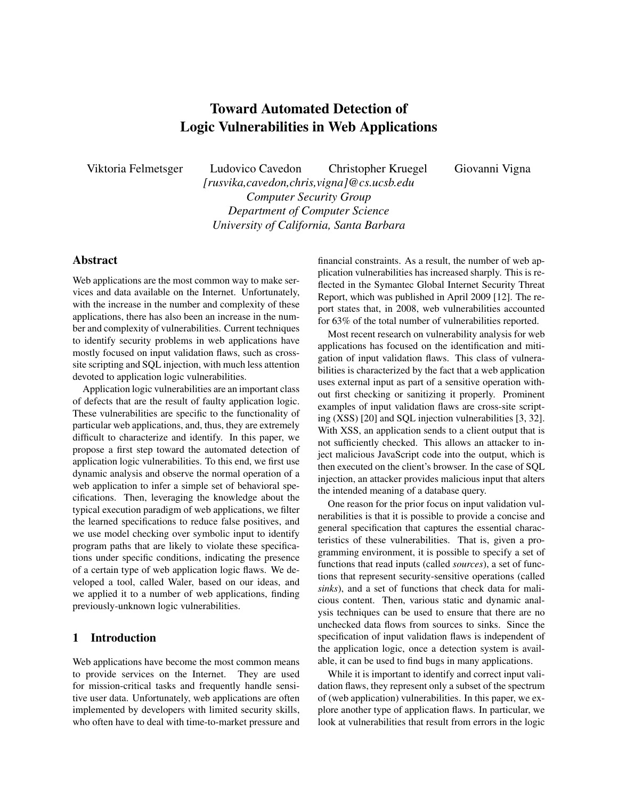# Toward Automated Detection of Logic Vulnerabilities in Web Applications

Viktoria Felmetsger Ludovico Cavedon Christopher Kruegel Giovanni Vigna *[rusvika,cavedon,chris,vigna]@cs.ucsb.edu Computer Security Group Department of Computer Science University of California, Santa Barbara*

# Abstract

Web applications are the most common way to make services and data available on the Internet. Unfortunately, with the increase in the number and complexity of these applications, there has also been an increase in the number and complexity of vulnerabilities. Current techniques to identify security problems in web applications have mostly focused on input validation flaws, such as crosssite scripting and SQL injection, with much less attention devoted to application logic vulnerabilities.

Application logic vulnerabilities are an important class of defects that are the result of faulty application logic. These vulnerabilities are specific to the functionality of particular web applications, and, thus, they are extremely difficult to characterize and identify. In this paper, we propose a first step toward the automated detection of application logic vulnerabilities. To this end, we first use dynamic analysis and observe the normal operation of a web application to infer a simple set of behavioral specifications. Then, leveraging the knowledge about the typical execution paradigm of web applications, we filter the learned specifications to reduce false positives, and we use model checking over symbolic input to identify program paths that are likely to violate these specifications under specific conditions, indicating the presence of a certain type of web application logic flaws. We developed a tool, called Waler, based on our ideas, and we applied it to a number of web applications, finding previously-unknown logic vulnerabilities.

## 1 Introduction

Web applications have become the most common means to provide services on the Internet. They are used for mission-critical tasks and frequently handle sensitive user data. Unfortunately, web applications are often implemented by developers with limited security skills, who often have to deal with time-to-market pressure and financial constraints. As a result, the number of web application vulnerabilities has increased sharply. This is reflected in the Symantec Global Internet Security Threat Report, which was published in April 2009 [12]. The report states that, in 2008, web vulnerabilities accounted for 63% of the total number of vulnerabilities reported.

Most recent research on vulnerability analysis for web applications has focused on the identification and mitigation of input validation flaws. This class of vulnerabilities is characterized by the fact that a web application uses external input as part of a sensitive operation without first checking or sanitizing it properly. Prominent examples of input validation flaws are cross-site scripting (XSS) [20] and SQL injection vulnerabilities [3, 32]. With XSS, an application sends to a client output that is not sufficiently checked. This allows an attacker to inject malicious JavaScript code into the output, which is then executed on the client's browser. In the case of SQL injection, an attacker provides malicious input that alters the intended meaning of a database query.

One reason for the prior focus on input validation vulnerabilities is that it is possible to provide a concise and general specification that captures the essential characteristics of these vulnerabilities. That is, given a programming environment, it is possible to specify a set of functions that read inputs (called *sources*), a set of functions that represent security-sensitive operations (called *sinks*), and a set of functions that check data for malicious content. Then, various static and dynamic analysis techniques can be used to ensure that there are no unchecked data flows from sources to sinks. Since the specification of input validation flaws is independent of the application logic, once a detection system is available, it can be used to find bugs in many applications.

While it is important to identify and correct input validation flaws, they represent only a subset of the spectrum of (web application) vulnerabilities. In this paper, we explore another type of application flaws. In particular, we look at vulnerabilities that result from errors in the logic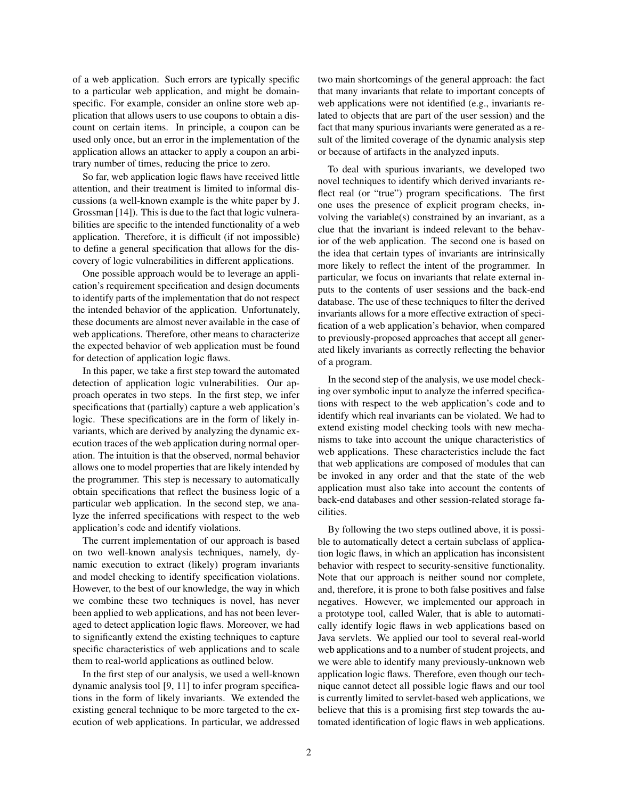of a web application. Such errors are typically specific to a particular web application, and might be domainspecific. For example, consider an online store web application that allows users to use coupons to obtain a discount on certain items. In principle, a coupon can be used only once, but an error in the implementation of the application allows an attacker to apply a coupon an arbitrary number of times, reducing the price to zero.

So far, web application logic flaws have received little attention, and their treatment is limited to informal discussions (a well-known example is the white paper by J. Grossman [14]). This is due to the fact that logic vulnerabilities are specific to the intended functionality of a web application. Therefore, it is difficult (if not impossible) to define a general specification that allows for the discovery of logic vulnerabilities in different applications.

One possible approach would be to leverage an application's requirement specification and design documents to identify parts of the implementation that do not respect the intended behavior of the application. Unfortunately, these documents are almost never available in the case of web applications. Therefore, other means to characterize the expected behavior of web application must be found for detection of application logic flaws.

In this paper, we take a first step toward the automated detection of application logic vulnerabilities. Our approach operates in two steps. In the first step, we infer specifications that (partially) capture a web application's logic. These specifications are in the form of likely invariants, which are derived by analyzing the dynamic execution traces of the web application during normal operation. The intuition is that the observed, normal behavior allows one to model properties that are likely intended by the programmer. This step is necessary to automatically obtain specifications that reflect the business logic of a particular web application. In the second step, we analyze the inferred specifications with respect to the web application's code and identify violations.

The current implementation of our approach is based on two well-known analysis techniques, namely, dynamic execution to extract (likely) program invariants and model checking to identify specification violations. However, to the best of our knowledge, the way in which we combine these two techniques is novel, has never been applied to web applications, and has not been leveraged to detect application logic flaws. Moreover, we had to significantly extend the existing techniques to capture specific characteristics of web applications and to scale them to real-world applications as outlined below.

In the first step of our analysis, we used a well-known dynamic analysis tool [9, 11] to infer program specifications in the form of likely invariants. We extended the existing general technique to be more targeted to the execution of web applications. In particular, we addressed two main shortcomings of the general approach: the fact that many invariants that relate to important concepts of web applications were not identified (e.g., invariants related to objects that are part of the user session) and the fact that many spurious invariants were generated as a result of the limited coverage of the dynamic analysis step or because of artifacts in the analyzed inputs.

To deal with spurious invariants, we developed two novel techniques to identify which derived invariants reflect real (or "true") program specifications. The first one uses the presence of explicit program checks, involving the variable(s) constrained by an invariant, as a clue that the invariant is indeed relevant to the behavior of the web application. The second one is based on the idea that certain types of invariants are intrinsically more likely to reflect the intent of the programmer. In particular, we focus on invariants that relate external inputs to the contents of user sessions and the back-end database. The use of these techniques to filter the derived invariants allows for a more effective extraction of specification of a web application's behavior, when compared to previously-proposed approaches that accept all generated likely invariants as correctly reflecting the behavior of a program.

In the second step of the analysis, we use model checking over symbolic input to analyze the inferred specifications with respect to the web application's code and to identify which real invariants can be violated. We had to extend existing model checking tools with new mechanisms to take into account the unique characteristics of web applications. These characteristics include the fact that web applications are composed of modules that can be invoked in any order and that the state of the web application must also take into account the contents of back-end databases and other session-related storage facilities.

By following the two steps outlined above, it is possible to automatically detect a certain subclass of application logic flaws, in which an application has inconsistent behavior with respect to security-sensitive functionality. Note that our approach is neither sound nor complete, and, therefore, it is prone to both false positives and false negatives. However, we implemented our approach in a prototype tool, called Waler, that is able to automatically identify logic flaws in web applications based on Java servlets. We applied our tool to several real-world web applications and to a number of student projects, and we were able to identify many previously-unknown web application logic flaws. Therefore, even though our technique cannot detect all possible logic flaws and our tool is currently limited to servlet-based web applications, we believe that this is a promising first step towards the automated identification of logic flaws in web applications.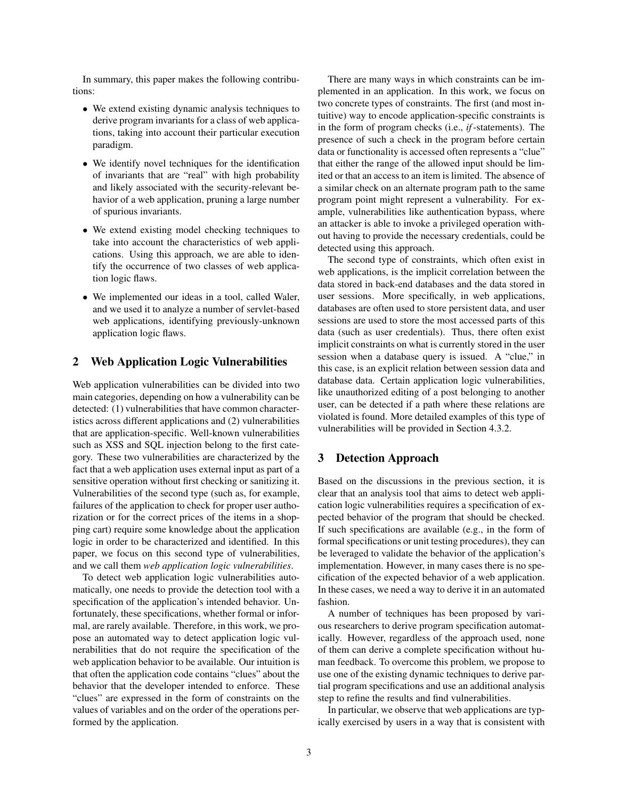In summary, this paper makes the following contributions:

- We extend existing dynamic analysis techniques to derive program invariants for a class of web applications, taking into account their particular execution paradigm.
- We identify novel techniques for the identification of invariants that are "real" with high probability and likely associated with the security-relevant behavior of a web application, pruning a large number of spurious invariants.
- We extend existing model checking techniques to take into account the characteristics of web applications. Using this approach, we are able to identify the occurrence of two classes of web application logic flaws.
- We implemented our ideas in a tool, called Waler, and we used it to analyze a number of servlet-based web applications, identifying previously-unknown application logic flaws.

### 2 Web Application Logic Vulnerabilities

Web application vulnerabilities can be divided into two main categories, depending on how a vulnerability can be detected: (1) vulnerabilities that have common characteristics across different applications and (2) vulnerabilities that are application-specific. Well-known vulnerabilities such as XSS and SQL injection belong to the first category. These two vulnerabilities are characterized by the fact that a web application uses external input as part of a sensitive operation without first checking or sanitizing it. Vulnerabilities of the second type (such as, for example, failures of the application to check for proper user authorization or for the correct prices of the items in a shopping cart) require some knowledge about the application logic in order to be characterized and identified. In this paper, we focus on this second type of vulnerabilities, and we call them *web application logic vulnerabilities*.

To detect web application logic vulnerabilities automatically, one needs to provide the detection tool with a specification of the application's intended behavior. Unfortunately, these specifications, whether formal or informal, are rarely available. Therefore, in this work, we propose an automated way to detect application logic vulnerabilities that do not require the specification of the web application behavior to be available. Our intuition is that often the application code contains "clues" about the behavior that the developer intended to enforce. These "clues" are expressed in the form of constraints on the values of variables and on the order of the operations performed by the application.

There are many ways in which constraints can be implemented in an application. In this work, we focus on two concrete types of constraints. The first (and most intuitive) way to encode application-specific constraints is in the form of program checks (i.e., *if*-statements). The presence of such a check in the program before certain data or functionality is accessed often represents a "clue" that either the range of the allowed input should be limited or that an access to an item is limited. The absence of a similar check on an alternate program path to the same program point might represent a vulnerability. For example, vulnerabilities like authentication bypass, where an attacker is able to invoke a privileged operation without having to provide the necessary credentials, could be detected using this approach.

The second type of constraints, which often exist in web applications, is the implicit correlation between the data stored in back-end databases and the data stored in user sessions. More specifically, in web applications, databases are often used to store persistent data, and user sessions are used to store the most accessed parts of this data (such as user credentials). Thus, there often exist implicit constraints on what is currently stored in the user session when a database query is issued. A "clue," in this case, is an explicit relation between session data and database data. Certain application logic vulnerabilities, like unauthorized editing of a post belonging to another user, can be detected if a path where these relations are violated is found. More detailed examples of this type of vulnerabilities will be provided in Section 4.3.2.

### 3 Detection Approach

Based on the discussions in the previous section, it is clear that an analysis tool that aims to detect web application logic vulnerabilities requires a specification of expected behavior of the program that should be checked. If such specifications are available (e.g., in the form of formal specifications or unit testing procedures), they can be leveraged to validate the behavior of the application's implementation. However, in many cases there is no specification of the expected behavior of a web application. In these cases, we need a way to derive it in an automated fashion.

A number of techniques has been proposed by various researchers to derive program specification automatically. However, regardless of the approach used, none of them can derive a complete specification without human feedback. To overcome this problem, we propose to use one of the existing dynamic techniques to derive partial program specifications and use an additional analysis step to refine the results and find vulnerabilities.

In particular, we observe that web applications are typically exercised by users in a way that is consistent with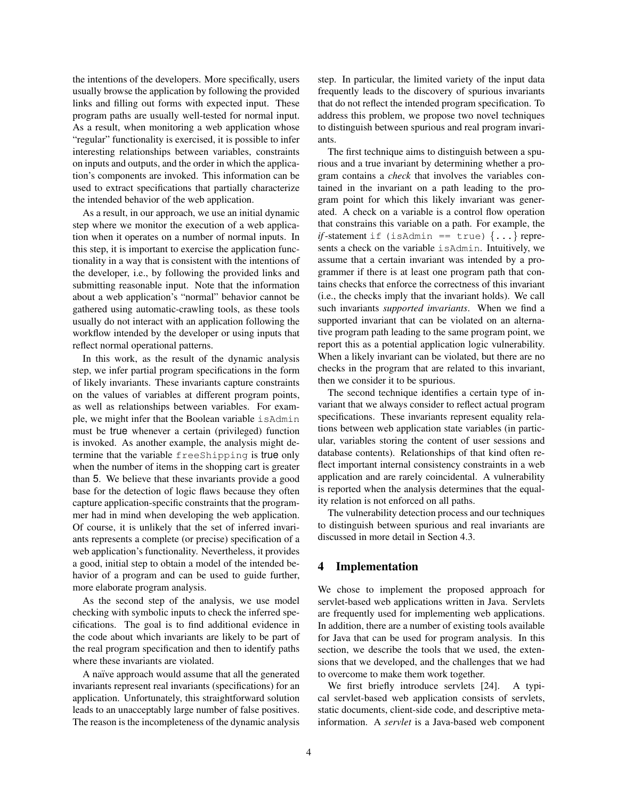the intentions of the developers. More specifically, users usually browse the application by following the provided links and filling out forms with expected input. These program paths are usually well-tested for normal input. As a result, when monitoring a web application whose "regular" functionality is exercised, it is possible to infer interesting relationships between variables, constraints on inputs and outputs, and the order in which the application's components are invoked. This information can be used to extract specifications that partially characterize the intended behavior of the web application.

As a result, in our approach, we use an initial dynamic step where we monitor the execution of a web application when it operates on a number of normal inputs. In this step, it is important to exercise the application functionality in a way that is consistent with the intentions of the developer, i.e., by following the provided links and submitting reasonable input. Note that the information about a web application's "normal" behavior cannot be gathered using automatic-crawling tools, as these tools usually do not interact with an application following the workflow intended by the developer or using inputs that reflect normal operational patterns.

In this work, as the result of the dynamic analysis step, we infer partial program specifications in the form of likely invariants. These invariants capture constraints on the values of variables at different program points, as well as relationships between variables. For example, we might infer that the Boolean variable isAdmin must be true whenever a certain (privileged) function is invoked. As another example, the analysis might determine that the variable freeShipping is true only when the number of items in the shopping cart is greater than 5. We believe that these invariants provide a good base for the detection of logic flaws because they often capture application-specific constraints that the programmer had in mind when developing the web application. Of course, it is unlikely that the set of inferred invariants represents a complete (or precise) specification of a web application's functionality. Nevertheless, it provides a good, initial step to obtain a model of the intended behavior of a program and can be used to guide further, more elaborate program analysis.

As the second step of the analysis, we use model checking with symbolic inputs to check the inferred specifications. The goal is to find additional evidence in the code about which invariants are likely to be part of the real program specification and then to identify paths where these invariants are violated.

A naïve approach would assume that all the generated invariants represent real invariants (specifications) for an application. Unfortunately, this straightforward solution leads to an unacceptably large number of false positives. The reason is the incompleteness of the dynamic analysis step. In particular, the limited variety of the input data frequently leads to the discovery of spurious invariants that do not reflect the intended program specification. To address this problem, we propose two novel techniques to distinguish between spurious and real program invariants.

The first technique aims to distinguish between a spurious and a true invariant by determining whether a program contains a *check* that involves the variables contained in the invariant on a path leading to the program point for which this likely invariant was generated. A check on a variable is a control flow operation that constrains this variable on a path. For example, the *if*-statement if (isAdmin == true)  $\{ \ldots \}$  represents a check on the variable isAdmin. Intuitively, we assume that a certain invariant was intended by a programmer if there is at least one program path that contains checks that enforce the correctness of this invariant (i.e., the checks imply that the invariant holds). We call such invariants *supported invariants*. When we find a supported invariant that can be violated on an alternative program path leading to the same program point, we report this as a potential application logic vulnerability. When a likely invariant can be violated, but there are no checks in the program that are related to this invariant, then we consider it to be spurious.

The second technique identifies a certain type of invariant that we always consider to reflect actual program specifications. These invariants represent equality relations between web application state variables (in particular, variables storing the content of user sessions and database contents). Relationships of that kind often reflect important internal consistency constraints in a web application and are rarely coincidental. A vulnerability is reported when the analysis determines that the equality relation is not enforced on all paths.

The vulnerability detection process and our techniques to distinguish between spurious and real invariants are discussed in more detail in Section 4.3.

### 4 Implementation

We chose to implement the proposed approach for servlet-based web applications written in Java. Servlets are frequently used for implementing web applications. In addition, there are a number of existing tools available for Java that can be used for program analysis. In this section, we describe the tools that we used, the extensions that we developed, and the challenges that we had to overcome to make them work together.

We first briefly introduce servlets [24]. A typical servlet-based web application consists of servlets, static documents, client-side code, and descriptive metainformation. A *servlet* is a Java-based web component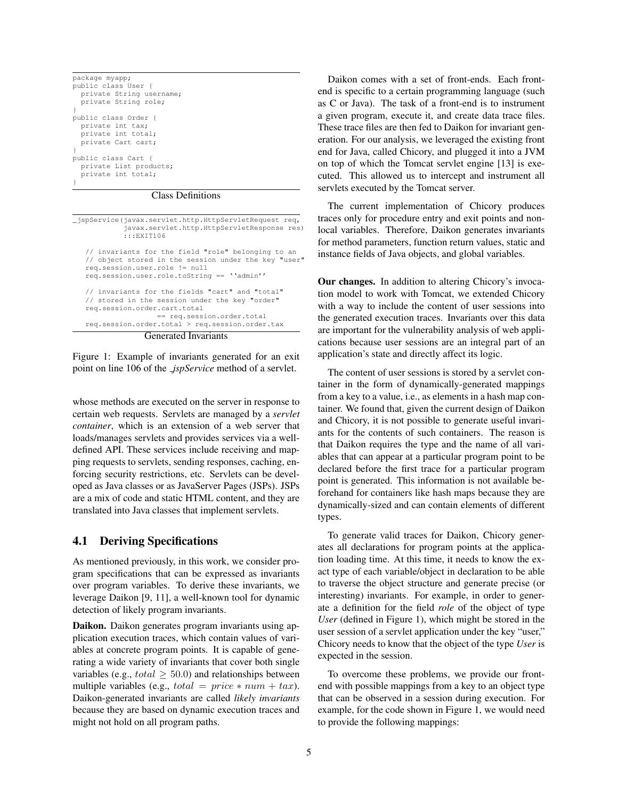| package myapp;           |
|--------------------------|
| public class User {      |
| private String username; |
| private String role;     |
|                          |
| public class Order {     |
| private int tax;         |
| private int total;       |
| private Cart cart;       |
|                          |
| public class Cart {      |
| private List products;   |
| private int total;       |
|                          |
|                          |

### Class Definitions

| _jspService(javax.servlet.http.HttpServletRequest req,<br>javax.servlet.http.HttpServletResponse res)<br>: : EXTT106                                                                                               |  |  |  |  |  |  |  |  |
|--------------------------------------------------------------------------------------------------------------------------------------------------------------------------------------------------------------------|--|--|--|--|--|--|--|--|
| // invariants for the field "role" belonging to an<br>// object stored in the session under the key "user"<br>req.session.user.role != null<br>req.session.user.role.toString == ''admin''                         |  |  |  |  |  |  |  |  |
| // invariants for the fields "cart" and "total"<br>// stored in the session under the key "order"<br>req.session.order.cart.total<br>== req.session.order.total<br>req.session.order.total > req.session.order.tax |  |  |  |  |  |  |  |  |
| <b>Generated Invariants</b>                                                                                                                                                                                        |  |  |  |  |  |  |  |  |

Figure 1: Example of invariants generated for an exit point on line 106 of the *jspService* method of a servlet.

whose methods are executed on the server in response to certain web requests. Servlets are managed by a *servlet container*, which is an extension of a web server that loads/manages servlets and provides services via a welldefined API. These services include receiving and mapping requests to servlets, sending responses, caching, enforcing security restrictions, etc. Servlets can be developed as Java classes or as JavaServer Pages (JSPs). JSPs are a mix of code and static HTML content, and they are translated into Java classes that implement servlets.

### 4.1 Deriving Specifications

As mentioned previously, in this work, we consider program specifications that can be expressed as invariants over program variables. To derive these invariants, we leverage Daikon [9, 11], a well-known tool for dynamic detection of likely program invariants.

Daikon. Daikon generates program invariants using application execution traces, which contain values of variables at concrete program points. It is capable of generating a wide variety of invariants that cover both single variables (e.g.,  $total \geq 50.0$ ) and relationships between multiple variables (e.g.,  $total = price * num + tax$ ). Daikon-generated invariants are called *likely invariants* because they are based on dynamic execution traces and might not hold on all program paths.

Daikon comes with a set of front-ends. Each frontend is specific to a certain programming language (such as C or Java). The task of a front-end is to instrument a given program, execute it, and create data trace files. These trace files are then fed to Daikon for invariant generation. For our analysis, we leveraged the existing front end for Java, called Chicory, and plugged it into a JVM on top of which the Tomcat servlet engine [13] is executed. This allowed us to intercept and instrument all servlets executed by the Tomcat server.

The current implementation of Chicory produces traces only for procedure entry and exit points and nonlocal variables. Therefore, Daikon generates invariants for method parameters, function return values, static and instance fields of Java objects, and global variables.

Our changes. In addition to altering Chicory's invocation model to work with Tomcat, we extended Chicory with a way to include the content of user sessions into the generated execution traces. Invariants over this data are important for the vulnerability analysis of web applications because user sessions are an integral part of an application's state and directly affect its logic.

The content of user sessions is stored by a servlet container in the form of dynamically-generated mappings from a key to a value, i.e., as elements in a hash map container. We found that, given the current design of Daikon and Chicory, it is not possible to generate useful invariants for the contents of such containers. The reason is that Daikon requires the type and the name of all variables that can appear at a particular program point to be declared before the first trace for a particular program point is generated. This information is not available beforehand for containers like hash maps because they are dynamically-sized and can contain elements of different types.

To generate valid traces for Daikon, Chicory generates all declarations for program points at the application loading time. At this time, it needs to know the exact type of each variable/object in declaration to be able to traverse the object structure and generate precise (or interesting) invariants. For example, in order to generate a definition for the field *role* of the object of type *User* (defined in Figure 1), which might be stored in the user session of a servlet application under the key "user," Chicory needs to know that the object of the type *User* is expected in the session.

To overcome these problems, we provide our frontend with possible mappings from a key to an object type that can be observed in a session during execution. For example, for the code shown in Figure 1, we would need to provide the following mappings: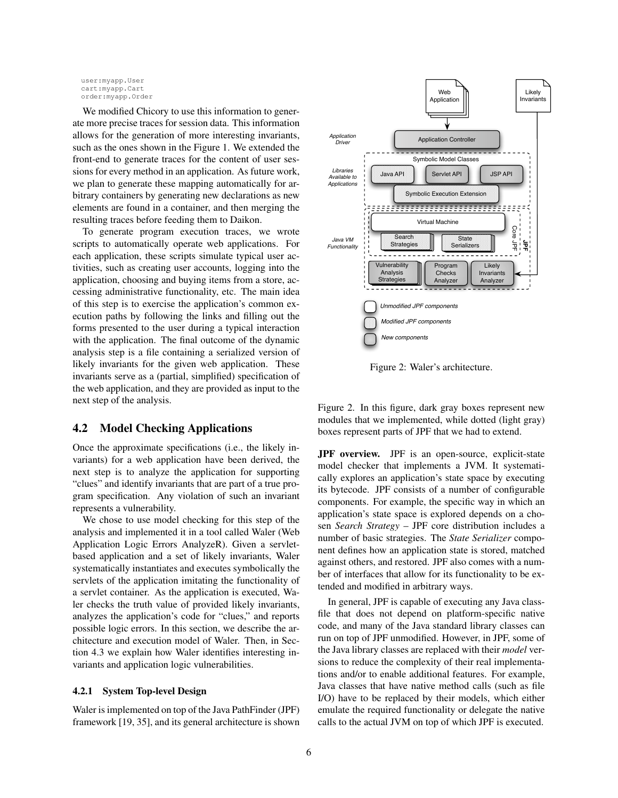user:myapp.User cart:myapp.Cart order:myapp.Order

We modified Chicory to use this information to generate more precise traces for session data. This information allows for the generation of more interesting invariants, such as the ones shown in the Figure 1. We extended the front-end to generate traces for the content of user sessions for every method in an application. As future work, we plan to generate these mapping automatically for arbitrary containers by generating new declarations as new elements are found in a container, and then merging the resulting traces before feeding them to Daikon.

To generate program execution traces, we wrote scripts to automatically operate web applications. For each application, these scripts simulate typical user activities, such as creating user accounts, logging into the application, choosing and buying items from a store, accessing administrative functionality, etc. The main idea of this step is to exercise the application's common execution paths by following the links and filling out the forms presented to the user during a typical interaction with the application. The final outcome of the dynamic analysis step is a file containing a serialized version of likely invariants for the given web application. These invariants serve as a (partial, simplified) specification of the web application, and they are provided as input to the next step of the analysis.

### 4.2 Model Checking Applications

Once the approximate specifications (i.e., the likely invariants) for a web application have been derived, the next step is to analyze the application for supporting "clues" and identify invariants that are part of a true program specification. Any violation of such an invariant represents a vulnerability.

We chose to use model checking for this step of the analysis and implemented it in a tool called Waler (Web Application Logic Errors AnalyzeR). Given a servletbased application and a set of likely invariants, Waler systematically instantiates and executes symbolically the servlets of the application imitating the functionality of a servlet container. As the application is executed, Waler checks the truth value of provided likely invariants, analyzes the application's code for "clues," and reports possible logic errors. In this section, we describe the architecture and execution model of Waler. Then, in Section 4.3 we explain how Waler identifies interesting invariants and application logic vulnerabilities.

### 4.2.1 System Top-level Design

Waler is implemented on top of the Java PathFinder (JPF) framework [19, 35], and its general architecture is shown



Figure 2: Waler's architecture.

Figure 2. In this figure, dark gray boxes represent new modules that we implemented, while dotted (light gray) boxes represent parts of JPF that we had to extend.

JPF overview. JPF is an open-source, explicit-state model checker that implements a JVM. It systematically explores an application's state space by executing its bytecode. JPF consists of a number of configurable components. For example, the specific way in which an application's state space is explored depends on a chosen *Search Strategy* – JPF core distribution includes a number of basic strategies. The *State Serializer* component defines how an application state is stored, matched against others, and restored. JPF also comes with a number of interfaces that allow for its functionality to be extended and modified in arbitrary ways.

In general, JPF is capable of executing any Java classfile that does not depend on platform-specific native code, and many of the Java standard library classes can run on top of JPF unmodified. However, in JPF, some of the Java library classes are replaced with their *model* versions to reduce the complexity of their real implementations and/or to enable additional features. For example, Java classes that have native method calls (such as file I/O) have to be replaced by their models, which either emulate the required functionality or delegate the native calls to the actual JVM on top of which JPF is executed.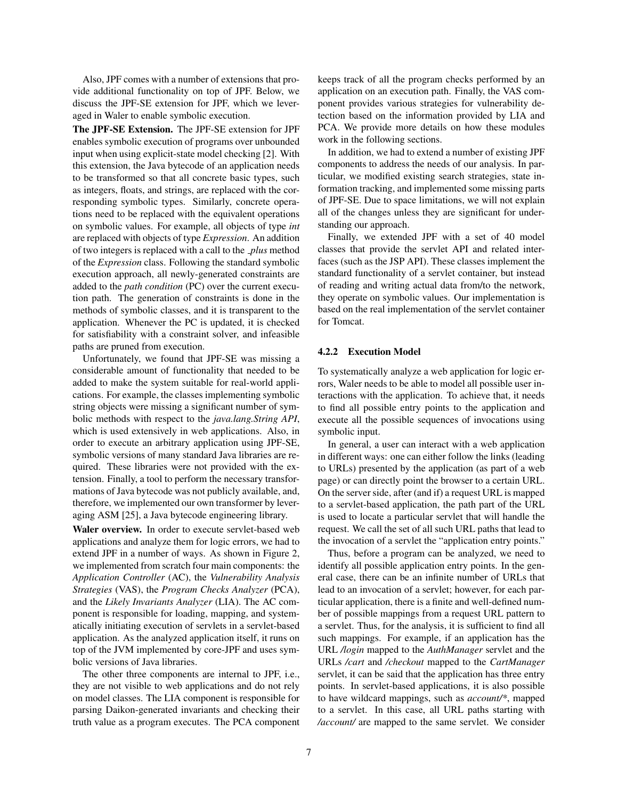Also, JPF comes with a number of extensions that provide additional functionality on top of JPF. Below, we discuss the JPF-SE extension for JPF, which we leveraged in Waler to enable symbolic execution.

The JPF-SE Extension. The JPF-SE extension for JPF enables symbolic execution of programs over unbounded input when using explicit-state model checking [2]. With this extension, the Java bytecode of an application needs to be transformed so that all concrete basic types, such as integers, floats, and strings, are replaced with the corresponding symbolic types. Similarly, concrete operations need to be replaced with the equivalent operations on symbolic values. For example, all objects of type *int* are replaced with objects of type *Expression*. An addition of two integers is replaced with a call to the *plus* method of the *Expression* class. Following the standard symbolic execution approach, all newly-generated constraints are added to the *path condition* (PC) over the current execution path. The generation of constraints is done in the methods of symbolic classes, and it is transparent to the application. Whenever the PC is updated, it is checked for satisfiability with a constraint solver, and infeasible paths are pruned from execution.

Unfortunately, we found that JPF-SE was missing a considerable amount of functionality that needed to be added to make the system suitable for real-world applications. For example, the classes implementing symbolic string objects were missing a significant number of symbolic methods with respect to the *java.lang.String API*, which is used extensively in web applications. Also, in order to execute an arbitrary application using JPF-SE, symbolic versions of many standard Java libraries are required. These libraries were not provided with the extension. Finally, a tool to perform the necessary transformations of Java bytecode was not publicly available, and, therefore, we implemented our own transformer by leveraging ASM [25], a Java bytecode engineering library.

Waler overview. In order to execute servlet-based web applications and analyze them for logic errors, we had to extend JPF in a number of ways. As shown in Figure 2, we implemented from scratch four main components: the *Application Controller* (AC), the *Vulnerability Analysis Strategies* (VAS), the *Program Checks Analyzer* (PCA), and the *Likely Invariants Analyzer* (LIA). The AC component is responsible for loading, mapping, and systematically initiating execution of servlets in a servlet-based application. As the analyzed application itself, it runs on top of the JVM implemented by core-JPF and uses symbolic versions of Java libraries.

The other three components are internal to JPF, i.e., they are not visible to web applications and do not rely on model classes. The LIA component is responsible for parsing Daikon-generated invariants and checking their truth value as a program executes. The PCA component keeps track of all the program checks performed by an application on an execution path. Finally, the VAS component provides various strategies for vulnerability detection based on the information provided by LIA and PCA. We provide more details on how these modules work in the following sections.

In addition, we had to extend a number of existing JPF components to address the needs of our analysis. In particular, we modified existing search strategies, state information tracking, and implemented some missing parts of JPF-SE. Due to space limitations, we will not explain all of the changes unless they are significant for understanding our approach.

Finally, we extended JPF with a set of 40 model classes that provide the servlet API and related interfaces (such as the JSP API). These classes implement the standard functionality of a servlet container, but instead of reading and writing actual data from/to the network, they operate on symbolic values. Our implementation is based on the real implementation of the servlet container for Tomcat.

### 4.2.2 Execution Model

To systematically analyze a web application for logic errors, Waler needs to be able to model all possible user interactions with the application. To achieve that, it needs to find all possible entry points to the application and execute all the possible sequences of invocations using symbolic input.

In general, a user can interact with a web application in different ways: one can either follow the links (leading to URLs) presented by the application (as part of a web page) or can directly point the browser to a certain URL. On the server side, after (and if) a request URL is mapped to a servlet-based application, the path part of the URL is used to locate a particular servlet that will handle the request. We call the set of all such URL paths that lead to the invocation of a servlet the "application entry points."

Thus, before a program can be analyzed, we need to identify all possible application entry points. In the general case, there can be an infinite number of URLs that lead to an invocation of a servlet; however, for each particular application, there is a finite and well-defined number of possible mappings from a request URL pattern to a servlet. Thus, for the analysis, it is sufficient to find all such mappings. For example, if an application has the URL */login* mapped to the *AuthManager* servlet and the URLs */cart* and */checkout* mapped to the *CartManager* servlet, it can be said that the application has three entry points. In servlet-based applications, it is also possible to have wildcard mappings, such as *account/\**, mapped to a servlet. In this case, all URL paths starting with */account/* are mapped to the same servlet. We consider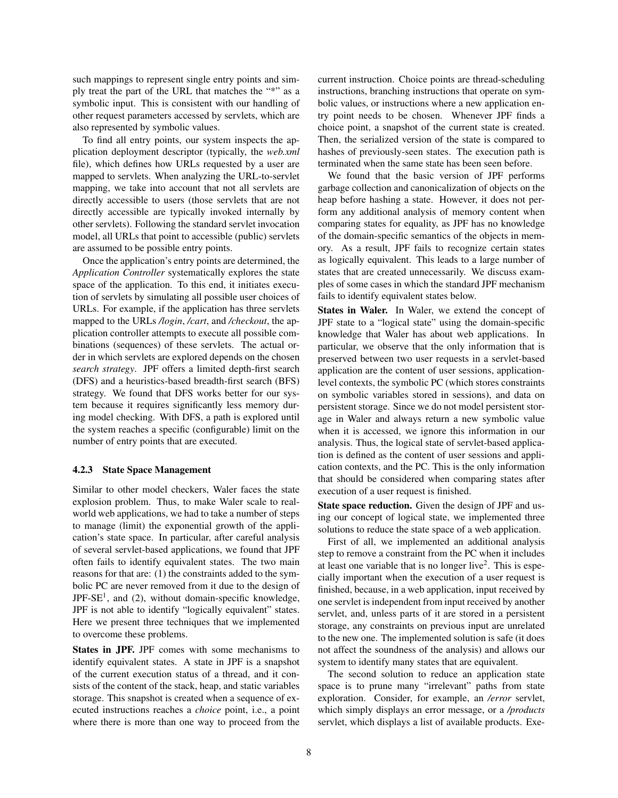such mappings to represent single entry points and simply treat the part of the URL that matches the "\*" as a symbolic input. This is consistent with our handling of other request parameters accessed by servlets, which are also represented by symbolic values.

To find all entry points, our system inspects the application deployment descriptor (typically, the *web.xml* file), which defines how URLs requested by a user are mapped to servlets. When analyzing the URL-to-servlet mapping, we take into account that not all servlets are directly accessible to users (those servlets that are not directly accessible are typically invoked internally by other servlets). Following the standard servlet invocation model, all URLs that point to accessible (public) servlets are assumed to be possible entry points.

Once the application's entry points are determined, the *Application Controller* systematically explores the state space of the application. To this end, it initiates execution of servlets by simulating all possible user choices of URLs. For example, if the application has three servlets mapped to the URLs */login*, */cart*, and */checkout*, the application controller attempts to execute all possible combinations (sequences) of these servlets. The actual order in which servlets are explored depends on the chosen *search strategy*. JPF offers a limited depth-first search (DFS) and a heuristics-based breadth-first search (BFS) strategy. We found that DFS works better for our system because it requires significantly less memory during model checking. With DFS, a path is explored until the system reaches a specific (configurable) limit on the number of entry points that are executed.

#### 4.2.3 State Space Management

Similar to other model checkers, Waler faces the state explosion problem. Thus, to make Waler scale to realworld web applications, we had to take a number of steps to manage (limit) the exponential growth of the application's state space. In particular, after careful analysis of several servlet-based applications, we found that JPF often fails to identify equivalent states. The two main reasons for that are: (1) the constraints added to the symbolic PC are never removed from it due to the design of JPF-SE<sup>1</sup>, and (2), without domain-specific knowledge, JPF is not able to identify "logically equivalent" states. Here we present three techniques that we implemented to overcome these problems.

States in JPF. JPF comes with some mechanisms to identify equivalent states. A state in JPF is a snapshot of the current execution status of a thread, and it consists of the content of the stack, heap, and static variables storage. This snapshot is created when a sequence of executed instructions reaches a *choice* point, i.e., a point where there is more than one way to proceed from the current instruction. Choice points are thread-scheduling instructions, branching instructions that operate on symbolic values, or instructions where a new application entry point needs to be chosen. Whenever JPF finds a choice point, a snapshot of the current state is created. Then, the serialized version of the state is compared to hashes of previously-seen states. The execution path is terminated when the same state has been seen before.

We found that the basic version of JPF performs garbage collection and canonicalization of objects on the heap before hashing a state. However, it does not perform any additional analysis of memory content when comparing states for equality, as JPF has no knowledge of the domain-specific semantics of the objects in memory. As a result, JPF fails to recognize certain states as logically equivalent. This leads to a large number of states that are created unnecessarily. We discuss examples of some cases in which the standard JPF mechanism fails to identify equivalent states below.

States in Waler. In Waler, we extend the concept of JPF state to a "logical state" using the domain-specific knowledge that Waler has about web applications. In particular, we observe that the only information that is preserved between two user requests in a servlet-based application are the content of user sessions, applicationlevel contexts, the symbolic PC (which stores constraints on symbolic variables stored in sessions), and data on persistent storage. Since we do not model persistent storage in Waler and always return a new symbolic value when it is accessed, we ignore this information in our analysis. Thus, the logical state of servlet-based application is defined as the content of user sessions and application contexts, and the PC. This is the only information that should be considered when comparing states after execution of a user request is finished.

State space reduction. Given the design of JPF and using our concept of logical state, we implemented three solutions to reduce the state space of a web application.

First of all, we implemented an additional analysis step to remove a constraint from the PC when it includes at least one variable that is no longer live<sup>2</sup>. This is especially important when the execution of a user request is finished, because, in a web application, input received by one servlet is independent from input received by another servlet, and, unless parts of it are stored in a persistent storage, any constraints on previous input are unrelated to the new one. The implemented solution is safe (it does not affect the soundness of the analysis) and allows our system to identify many states that are equivalent.

The second solution to reduce an application state space is to prune many "irrelevant" paths from state exploration. Consider, for example, an */error* servlet, which simply displays an error message, or a */products* servlet, which displays a list of available products. Exe-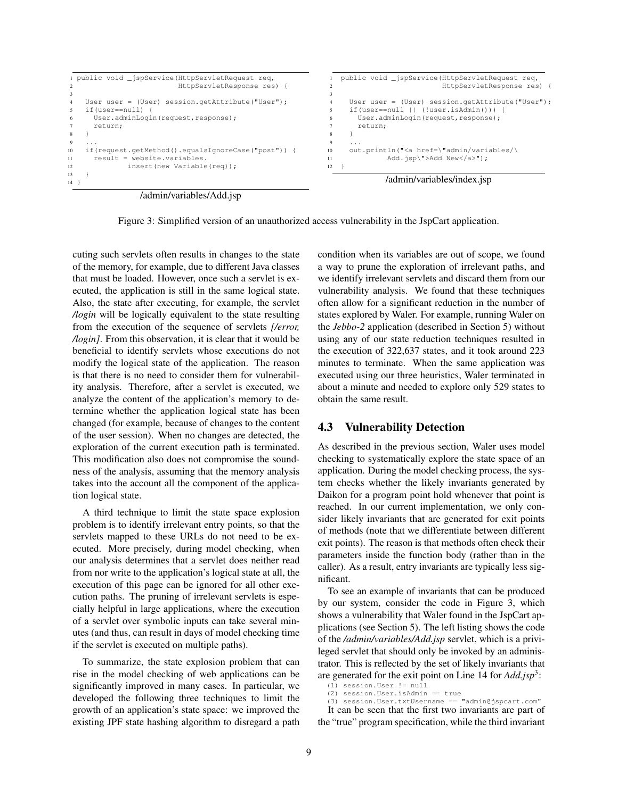```
1 public void _jspService(HttpServletRequest req,
2 HttpServletResponse res) {
3
4 User user = (User) session.getAttribute("User");
5 if(user==null) {
6 User.adminLogin(request, response);
7 return;
8 }
9 ...
10 if(request.getMethod().equalsIgnoreCase("post")) {
11 result = website.variables.
12 insert(new Variable(req));
13 }
14 }
                                                            public void _jspService(HttpServletRequest req,
                                                                                   2 HttpServletResponse res) {
                                                          3
                                                              User user = (User) session.getAttribute("User");
                                                              5 if(user==null || (!user.isAdmin())) {
                                                          6 User.adminLogin(request,response);
                                                                return;
                                                          8 }
                                                          9 ...
                                                         10 out.println("<a href=\"admin/variables/\
                                                         11 Add.jsp\">Add New</a>");
                                                         12 }
                                                                      /admin/variables/index.jsp
```
/admin/variables/Add.jsp

Figure 3: Simplified version of an unauthorized access vulnerability in the JspCart application.

cuting such servlets often results in changes to the state of the memory, for example, due to different Java classes that must be loaded. However, once such a servlet is executed, the application is still in the same logical state. Also, the state after executing, for example, the servlet */login* will be logically equivalent to the state resulting from the execution of the sequence of servlets *[/error, /login]*. From this observation, it is clear that it would be beneficial to identify servlets whose executions do not modify the logical state of the application. The reason is that there is no need to consider them for vulnerability analysis. Therefore, after a servlet is executed, we analyze the content of the application's memory to determine whether the application logical state has been changed (for example, because of changes to the content of the user session). When no changes are detected, the exploration of the current execution path is terminated. This modification also does not compromise the soundness of the analysis, assuming that the memory analysis takes into the account all the component of the application logical state.

A third technique to limit the state space explosion problem is to identify irrelevant entry points, so that the servlets mapped to these URLs do not need to be executed. More precisely, during model checking, when our analysis determines that a servlet does neither read from nor write to the application's logical state at all, the execution of this page can be ignored for all other execution paths. The pruning of irrelevant servlets is especially helpful in large applications, where the execution of a servlet over symbolic inputs can take several minutes (and thus, can result in days of model checking time if the servlet is executed on multiple paths).

To summarize, the state explosion problem that can rise in the model checking of web applications can be significantly improved in many cases. In particular, we developed the following three techniques to limit the growth of an application's state space: we improved the existing JPF state hashing algorithm to disregard a path condition when its variables are out of scope, we found a way to prune the exploration of irrelevant paths, and we identify irrelevant servlets and discard them from our vulnerability analysis. We found that these techniques often allow for a significant reduction in the number of states explored by Waler. For example, running Waler on the *Jebbo-2* application (described in Section 5) without using any of our state reduction techniques resulted in the execution of 322,637 states, and it took around 223 minutes to terminate. When the same application was executed using our three heuristics, Waler terminated in about a minute and needed to explore only 529 states to obtain the same result.

### 4.3 Vulnerability Detection

As described in the previous section, Waler uses model checking to systematically explore the state space of an application. During the model checking process, the system checks whether the likely invariants generated by Daikon for a program point hold whenever that point is reached. In our current implementation, we only consider likely invariants that are generated for exit points of methods (note that we differentiate between different exit points). The reason is that methods often check their parameters inside the function body (rather than in the caller). As a result, entry invariants are typically less significant.

To see an example of invariants that can be produced by our system, consider the code in Figure 3, which shows a vulnerability that Waler found in the JspCart applications (see Section 5). The left listing shows the code of the */admin/variables/Add.jsp* servlet, which is a privileged servlet that should only be invoked by an administrator. This is reflected by the set of likely invariants that are generated for the exit point on Line 14 for *Add.jsp*<sup>3</sup> :

It can be seen that the first two invariants are part of the "true" program specification, while the third invariant

<sup>(1)</sup> session.User != null

<sup>(2)</sup> session.User.isAdmin == true (3) session.User.txtUsername == "admin@jspcart.com"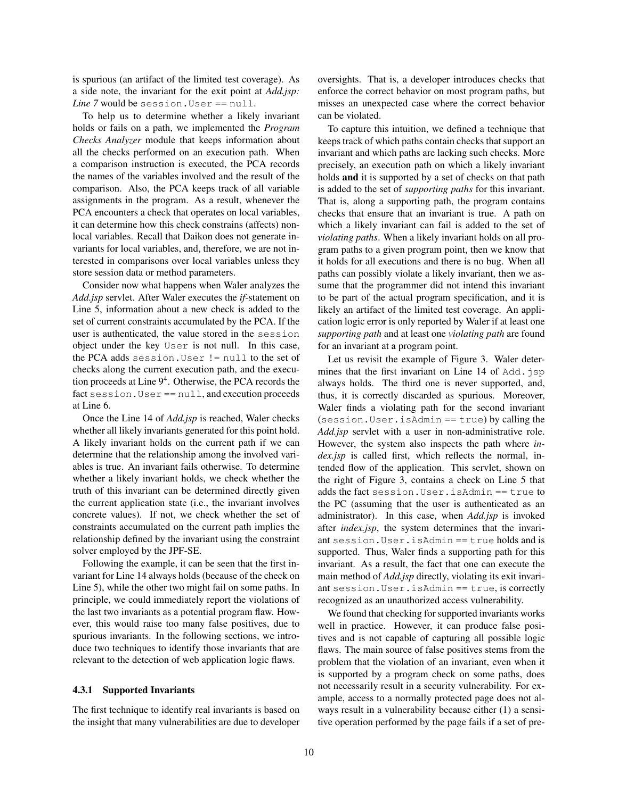is spurious (an artifact of the limited test coverage). As a side note, the invariant for the exit point at *Add.jsp: Line* 7 would be session. User == null.

To help us to determine whether a likely invariant holds or fails on a path, we implemented the *Program Checks Analyzer* module that keeps information about all the checks performed on an execution path. When a comparison instruction is executed, the PCA records the names of the variables involved and the result of the comparison. Also, the PCA keeps track of all variable assignments in the program. As a result, whenever the PCA encounters a check that operates on local variables, it can determine how this check constrains (affects) nonlocal variables. Recall that Daikon does not generate invariants for local variables, and, therefore, we are not interested in comparisons over local variables unless they store session data or method parameters.

Consider now what happens when Waler analyzes the *Add.jsp* servlet. After Waler executes the *if*-statement on Line 5, information about a new check is added to the set of current constraints accumulated by the PCA. If the user is authenticated, the value stored in the session object under the key User is not null. In this case, the PCA adds session.User != null to the set of checks along the current execution path, and the execution proceeds at Line  $9<sup>4</sup>$ . Otherwise, the PCA records the fact session.User == null, and execution proceeds at Line 6.

Once the Line 14 of *Add.jsp* is reached, Waler checks whether all likely invariants generated for this point hold. A likely invariant holds on the current path if we can determine that the relationship among the involved variables is true. An invariant fails otherwise. To determine whether a likely invariant holds, we check whether the truth of this invariant can be determined directly given the current application state (i.e., the invariant involves concrete values). If not, we check whether the set of constraints accumulated on the current path implies the relationship defined by the invariant using the constraint solver employed by the JPF-SE.

Following the example, it can be seen that the first invariant for Line 14 always holds (because of the check on Line 5), while the other two might fail on some paths. In principle, we could immediately report the violations of the last two invariants as a potential program flaw. However, this would raise too many false positives, due to spurious invariants. In the following sections, we introduce two techniques to identify those invariants that are relevant to the detection of web application logic flaws.

#### 4.3.1 Supported Invariants

The first technique to identify real invariants is based on the insight that many vulnerabilities are due to developer oversights. That is, a developer introduces checks that enforce the correct behavior on most program paths, but misses an unexpected case where the correct behavior can be violated.

To capture this intuition, we defined a technique that keeps track of which paths contain checks that support an invariant and which paths are lacking such checks. More precisely, an execution path on which a likely invariant holds and it is supported by a set of checks on that path is added to the set of *supporting paths* for this invariant. That is, along a supporting path, the program contains checks that ensure that an invariant is true. A path on which a likely invariant can fail is added to the set of *violating paths*. When a likely invariant holds on all program paths to a given program point, then we know that it holds for all executions and there is no bug. When all paths can possibly violate a likely invariant, then we assume that the programmer did not intend this invariant to be part of the actual program specification, and it is likely an artifact of the limited test coverage. An application logic error is only reported by Waler if at least one *supporting path* and at least one *violating path* are found for an invariant at a program point.

Let us revisit the example of Figure 3. Waler determines that the first invariant on Line 14 of Add. jsp always holds. The third one is never supported, and, thus, it is correctly discarded as spurious. Moreover, Waler finds a violating path for the second invariant (session.User.isAdmin == true) by calling the *Add.jsp* servlet with a user in non-administrative role. However, the system also inspects the path where *index.jsp* is called first, which reflects the normal, intended flow of the application. This servlet, shown on the right of Figure 3, contains a check on Line 5 that adds the fact session.User.isAdmin == true to the PC (assuming that the user is authenticated as an administrator). In this case, when *Add.jsp* is invoked after *index.jsp*, the system determines that the invariant session.User.isAdmin == true holds and is supported. Thus, Waler finds a supporting path for this invariant. As a result, the fact that one can execute the main method of *Add.jsp* directly, violating its exit invariant session.User.isAdmin == true, is correctly recognized as an unauthorized access vulnerability.

We found that checking for supported invariants works well in practice. However, it can produce false positives and is not capable of capturing all possible logic flaws. The main source of false positives stems from the problem that the violation of an invariant, even when it is supported by a program check on some paths, does not necessarily result in a security vulnerability. For example, access to a normally protected page does not always result in a vulnerability because either (1) a sensitive operation performed by the page fails if a set of pre-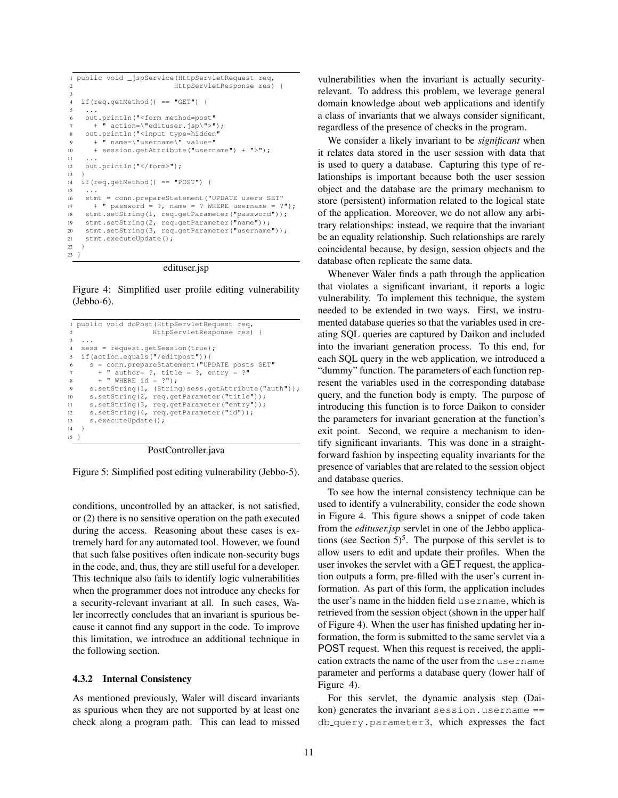```
1 public void _jspService(HttpServletRequest req,
2 HttpServletResponse res) {
3
4 if(req.getMethod() == "GET") {
 5 \ldots6 out.println("<form method=post"
7 + \rightharpoonup action=\"edituser.jsp\">");
8 out.println("<input type=hidden"
9 + " name=\"username\" value="
10 + session.getAttribute("username") + ">");
11 \quad .1112 out.println("</form>");
13 }
14 if(req.getMethod() == "POST") {
15 ...
16 stmt = conn.prepareStatement("UPDATE users SET"<br>17 + " password = ?, name = ? WHERE username = ?
      + " password = ?, name = ? WHERE username = ?");
18 stmt.setString(1, req.getParameter("password"));
19 stmt.setString(2, req.getParameter("name"));
20 stmt.setString(3, req.getParameter("username"));
21 stmt.executeUpdate();
22 }
23 }
```
edituser.jsp

Figure 4: Simplified user profile editing vulnerability (Jebbo-6).

```
1 public void doPost(HttpServletRequest req,
                    2 HttpServletResponse res) {
3 ...
4 sess = request.getSession(true);
5 if(action.equals("/editpost")){
6 s = conn.prepareStatement("UPDATE posts SET"
       + " author= ?, title = ?, entry = ?"
8 + " WHERE id = ?");
9 s.setString(1, (String)sess.getAttribute("auth"));
10 s.setString(2, req.getParameter("title"));
11 s.setString(3, req.getParameter("entry"));
12 s.setString(4, req.getParameter("id"));
13 s.executeUpdate();<br>14 }
1415 }
```
PostController.java

Figure 5: Simplified post editing vulnerability (Jebbo-5).

conditions, uncontrolled by an attacker, is not satisfied, or (2) there is no sensitive operation on the path executed during the access. Reasoning about these cases is extremely hard for any automated tool. However, we found that such false positives often indicate non-security bugs in the code, and, thus, they are still useful for a developer. This technique also fails to identify logic vulnerabilities when the programmer does not introduce any checks for a security-relevant invariant at all. In such cases, Waler incorrectly concludes that an invariant is spurious because it cannot find any support in the code. To improve this limitation, we introduce an additional technique in the following section.

#### 4.3.2 Internal Consistency

As mentioned previously, Waler will discard invariants as spurious when they are not supported by at least one check along a program path. This can lead to missed vulnerabilities when the invariant is actually securityrelevant. To address this problem, we leverage general domain knowledge about web applications and identify a class of invariants that we always consider significant, regardless of the presence of checks in the program.

We consider a likely invariant to be *significant* when it relates data stored in the user session with data that is used to query a database. Capturing this type of relationships is important because both the user session object and the database are the primary mechanism to store (persistent) information related to the logical state of the application. Moreover, we do not allow any arbitrary relationships: instead, we require that the invariant be an equality relationship. Such relationships are rarely coincidental because, by design, session objects and the database often replicate the same data.

Whenever Waler finds a path through the application that violates a significant invariant, it reports a logic vulnerability. To implement this technique, the system needed to be extended in two ways. First, we instrumented database queries so that the variables used in creating SQL queries are captured by Daikon and included into the invariant generation process. To this end, for each SQL query in the web application, we introduced a "dummy" function. The parameters of each function represent the variables used in the corresponding database query, and the function body is empty. The purpose of introducing this function is to force Daikon to consider the parameters for invariant generation at the function's exit point. Second, we require a mechanism to identify significant invariants. This was done in a straightforward fashion by inspecting equality invariants for the presence of variables that are related to the session object and database queries.

To see how the internal consistency technique can be used to identify a vulnerability, consider the code shown in Figure 4. This figure shows a snippet of code taken from the *edituser.jsp* servlet in one of the Jebbo applications (see Section  $5)^5$ . The purpose of this servlet is to allow users to edit and update their profiles. When the user invokes the servlet with a GET request, the application outputs a form, pre-filled with the user's current information. As part of this form, the application includes the user's name in the hidden field username, which is retrieved from the session object (shown in the upper half of Figure 4). When the user has finished updating her information, the form is submitted to the same servlet via a POST request. When this request is received, the application extracts the name of the user from the username parameter and performs a database query (lower half of Figure 4).

For this servlet, the dynamic analysis step (Daikon) generates the invariant session.username == db query.parameter3, which expresses the fact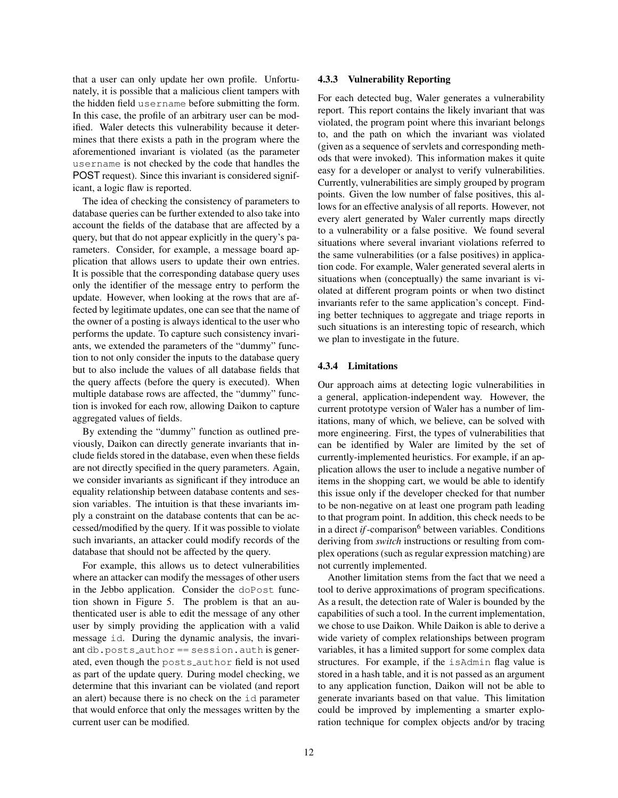that a user can only update her own profile. Unfortunately, it is possible that a malicious client tampers with the hidden field username before submitting the form. In this case, the profile of an arbitrary user can be modified. Waler detects this vulnerability because it determines that there exists a path in the program where the aforementioned invariant is violated (as the parameter username is not checked by the code that handles the POST request). Since this invariant is considered significant, a logic flaw is reported.

The idea of checking the consistency of parameters to database queries can be further extended to also take into account the fields of the database that are affected by a query, but that do not appear explicitly in the query's parameters. Consider, for example, a message board application that allows users to update their own entries. It is possible that the corresponding database query uses only the identifier of the message entry to perform the update. However, when looking at the rows that are affected by legitimate updates, one can see that the name of the owner of a posting is always identical to the user who performs the update. To capture such consistency invariants, we extended the parameters of the "dummy" function to not only consider the inputs to the database query but to also include the values of all database fields that the query affects (before the query is executed). When multiple database rows are affected, the "dummy" function is invoked for each row, allowing Daikon to capture aggregated values of fields.

By extending the "dummy" function as outlined previously, Daikon can directly generate invariants that include fields stored in the database, even when these fields are not directly specified in the query parameters. Again, we consider invariants as significant if they introduce an equality relationship between database contents and session variables. The intuition is that these invariants imply a constraint on the database contents that can be accessed/modified by the query. If it was possible to violate such invariants, an attacker could modify records of the database that should not be affected by the query.

For example, this allows us to detect vulnerabilities where an attacker can modify the messages of other users in the Jebbo application. Consider the doPost function shown in Figure 5. The problem is that an authenticated user is able to edit the message of any other user by simply providing the application with a valid message id. During the dynamic analysis, the invariant db.posts author == session.auth is generated, even though the posts author field is not used as part of the update query. During model checking, we determine that this invariant can be violated (and report an alert) because there is no check on the id parameter that would enforce that only the messages written by the current user can be modified.

#### 4.3.3 Vulnerability Reporting

For each detected bug, Waler generates a vulnerability report. This report contains the likely invariant that was violated, the program point where this invariant belongs to, and the path on which the invariant was violated (given as a sequence of servlets and corresponding methods that were invoked). This information makes it quite easy for a developer or analyst to verify vulnerabilities. Currently, vulnerabilities are simply grouped by program points. Given the low number of false positives, this allows for an effective analysis of all reports. However, not every alert generated by Waler currently maps directly to a vulnerability or a false positive. We found several situations where several invariant violations referred to the same vulnerabilities (or a false positives) in application code. For example, Waler generated several alerts in situations when (conceptually) the same invariant is violated at different program points or when two distinct invariants refer to the same application's concept. Finding better techniques to aggregate and triage reports in such situations is an interesting topic of research, which we plan to investigate in the future.

### 4.3.4 Limitations

Our approach aims at detecting logic vulnerabilities in a general, application-independent way. However, the current prototype version of Waler has a number of limitations, many of which, we believe, can be solved with more engineering. First, the types of vulnerabilities that can be identified by Waler are limited by the set of currently-implemented heuristics. For example, if an application allows the user to include a negative number of items in the shopping cart, we would be able to identify this issue only if the developer checked for that number to be non-negative on at least one program path leading to that program point. In addition, this check needs to be in a direct *if*-comparison $^6$  between variables. Conditions deriving from *switch* instructions or resulting from complex operations (such as regular expression matching) are not currently implemented.

Another limitation stems from the fact that we need a tool to derive approximations of program specifications. As a result, the detection rate of Waler is bounded by the capabilities of such a tool. In the current implementation, we chose to use Daikon. While Daikon is able to derive a wide variety of complex relationships between program variables, it has a limited support for some complex data structures. For example, if the isAdmin flag value is stored in a hash table, and it is not passed as an argument to any application function, Daikon will not be able to generate invariants based on that value. This limitation could be improved by implementing a smarter exploration technique for complex objects and/or by tracing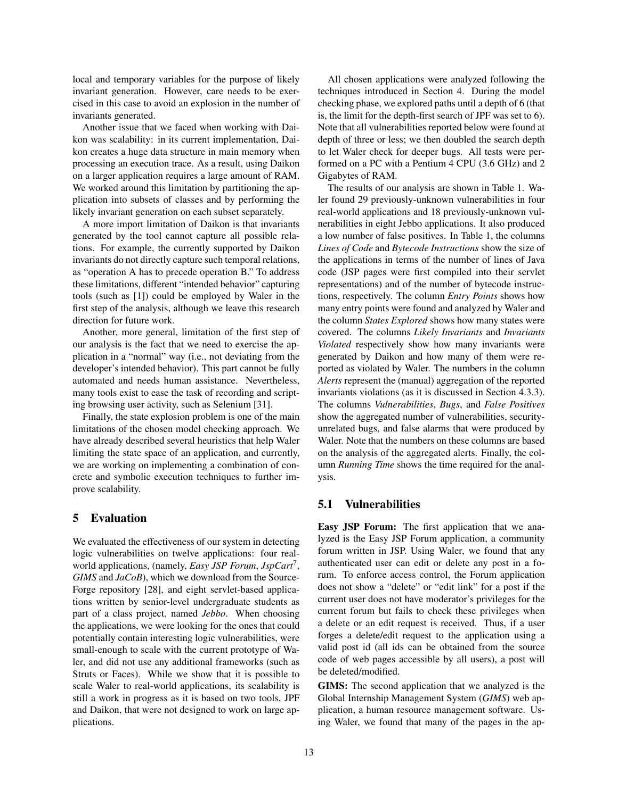local and temporary variables for the purpose of likely invariant generation. However, care needs to be exercised in this case to avoid an explosion in the number of invariants generated.

Another issue that we faced when working with Daikon was scalability: in its current implementation, Daikon creates a huge data structure in main memory when processing an execution trace. As a result, using Daikon on a larger application requires a large amount of RAM. We worked around this limitation by partitioning the application into subsets of classes and by performing the likely invariant generation on each subset separately.

A more import limitation of Daikon is that invariants generated by the tool cannot capture all possible relations. For example, the currently supported by Daikon invariants do not directly capture such temporal relations, as "operation A has to precede operation B." To address these limitations, different "intended behavior" capturing tools (such as [1]) could be employed by Waler in the first step of the analysis, although we leave this research direction for future work.

Another, more general, limitation of the first step of our analysis is the fact that we need to exercise the application in a "normal" way (i.e., not deviating from the developer's intended behavior). This part cannot be fully automated and needs human assistance. Nevertheless, many tools exist to ease the task of recording and scripting browsing user activity, such as Selenium [31].

Finally, the state explosion problem is one of the main limitations of the chosen model checking approach. We have already described several heuristics that help Waler limiting the state space of an application, and currently, we are working on implementing a combination of concrete and symbolic execution techniques to further improve scalability.

### 5 Evaluation

We evaluated the effectiveness of our system in detecting logic vulnerabilities on twelve applications: four realworld applications, (namely, *Easy JSP Forum*, *JspCart*<sup>7</sup> , *GIMS* and *JaCoB*), which we download from the Source-Forge repository [28], and eight servlet-based applications written by senior-level undergraduate students as part of a class project, named *Jebbo*. When choosing the applications, we were looking for the ones that could potentially contain interesting logic vulnerabilities, were small-enough to scale with the current prototype of Waler, and did not use any additional frameworks (such as Struts or Faces). While we show that it is possible to scale Waler to real-world applications, its scalability is still a work in progress as it is based on two tools, JPF and Daikon, that were not designed to work on large applications.

All chosen applications were analyzed following the techniques introduced in Section 4. During the model checking phase, we explored paths until a depth of 6 (that is, the limit for the depth-first search of JPF was set to 6). Note that all vulnerabilities reported below were found at depth of three or less; we then doubled the search depth to let Waler check for deeper bugs. All tests were performed on a PC with a Pentium 4 CPU (3.6 GHz) and 2 Gigabytes of RAM.

The results of our analysis are shown in Table 1. Waler found 29 previously-unknown vulnerabilities in four real-world applications and 18 previously-unknown vulnerabilities in eight Jebbo applications. It also produced a low number of false positives. In Table 1, the columns *Lines of Code* and *Bytecode Instructions* show the size of the applications in terms of the number of lines of Java code (JSP pages were first compiled into their servlet representations) and of the number of bytecode instructions, respectively. The column *Entry Points* shows how many entry points were found and analyzed by Waler and the column *States Explored* shows how many states were covered. The columns *Likely Invariants* and *Invariants Violated* respectively show how many invariants were generated by Daikon and how many of them were reported as violated by Waler. The numbers in the column *Alerts* represent the (manual) aggregation of the reported invariants violations (as it is discussed in Section 4.3.3). The columns *Vulnerabilities*, *Bugs*, and *False Positives* show the aggregated number of vulnerabilities, securityunrelated bugs, and false alarms that were produced by Waler. Note that the numbers on these columns are based on the analysis of the aggregated alerts. Finally, the column *Running Time* shows the time required for the analysis.

### 5.1 Vulnerabilities

Easy JSP Forum: The first application that we analyzed is the Easy JSP Forum application, a community forum written in JSP. Using Waler, we found that any authenticated user can edit or delete any post in a forum. To enforce access control, the Forum application does not show a "delete" or "edit link" for a post if the current user does not have moderator's privileges for the current forum but fails to check these privileges when a delete or an edit request is received. Thus, if a user forges a delete/edit request to the application using a valid post id (all ids can be obtained from the source code of web pages accessible by all users), a post will be deleted/modified.

GIMS: The second application that we analyzed is the Global Internship Management System (*GIMS*) web application, a human resource management software. Using Waler, we found that many of the pages in the ap-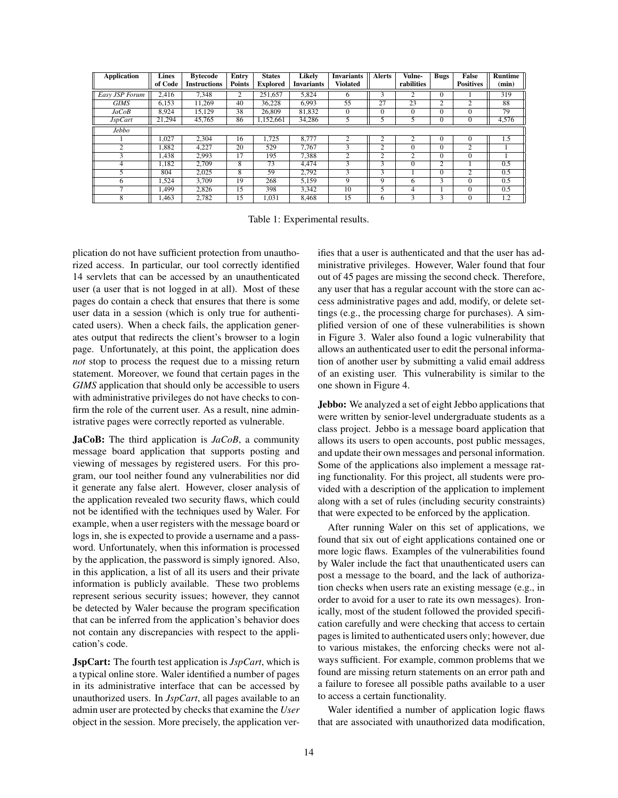| <b>Application</b> | Lines<br>of Code | <b>Bytecode</b><br><b>Instructions</b> | Entry<br><b>Points</b> | <b>States</b><br><b>Explored</b> | Likelv<br><b>Invariants</b> | <b>Invariants</b><br><b>Violated</b> | <b>Alerts</b>  | Vulne-<br>rabilities | <b>Bugs</b>    | <b>False</b><br><b>Positives</b> | <b>Runtime</b><br>(min) |
|--------------------|------------------|----------------------------------------|------------------------|----------------------------------|-----------------------------|--------------------------------------|----------------|----------------------|----------------|----------------------------------|-------------------------|
|                    |                  |                                        |                        |                                  |                             |                                      |                |                      |                |                                  |                         |
| Easy JSP Forum     | 2.416            | 7.348                                  | $\overline{c}$         | 251.657                          | 5.824                       | 6                                    | 3              | $\overline{c}$       | $\Omega$       |                                  | 319                     |
| <b>GIMS</b>        | 6.153            | 11.269                                 | 40                     | 36.228                           | 6.993                       | 55                                   | 27             | 23                   | 2              | 2                                | 88                      |
| JaCoB              | 8,924            | 15.129                                 | 38                     | 26,809                           | 81,832                      | $\mathbf{0}$                         | $\Omega$       | $\Omega$             | $\Omega$       | $\theta$                         | 79                      |
| JspCart            | 21,294           | 45.765                                 | 86                     | 1.152.661                        | 34,286                      | 5                                    | 5              | 5                    | $\Omega$       | $\mathbf{0}$                     | 4,576                   |
| <b>Jebbo</b>       |                  |                                        |                        |                                  |                             |                                      |                |                      |                |                                  |                         |
|                    | 1.027            | 2.304                                  | 16                     | 1.725                            | 8.777                       | $\overline{c}$                       | $\overline{c}$ | $\overline{c}$       | $\Omega$       | $\Omega$                         | 1.5                     |
| $\mathcal{L}$      | 1.882            | 4.227                                  | 20                     | 529                              | 7.767                       | 3                                    | $\overline{c}$ | $\Omega$             | $\Omega$       | 2                                |                         |
| 3                  | 1.438            | 2.993                                  | 17                     | 195                              | 7,388                       | $\overline{c}$                       | 2              | $\overline{2}$       | $\overline{0}$ | $\Omega$                         |                         |
| 4                  | 1.182            | 2.709                                  | 8                      | $\overline{73}$                  | 4.474                       | 3                                    | 3              | $\theta$             | $\overline{2}$ |                                  | 0.5                     |
|                    | 804              | 2.025                                  | 8                      | 59                               | 2.792                       | 3                                    | 3              |                      | $\Omega$       | $\overline{c}$                   | 0.5                     |
| 6                  | 1.524            | 3.709                                  | $1\overline{9}$        | 268                              | 5.159                       | 9                                    | 9              | 6                    | 3              | $\theta$                         | 0.5                     |
| ⇁                  | 1.499            | 2.826                                  | 15                     | 398                              | 3.342                       | 10                                   |                | 4                    |                | $\theta$                         | 0.5                     |
| 8                  | 1.463            | 2.782                                  | 15                     | 1.031                            | 8.468                       | 15                                   | 6              | 3                    | 3              | $\Omega$                         | 1.2                     |

Table 1: Experimental results.

plication do not have sufficient protection from unauthorized access. In particular, our tool correctly identified 14 servlets that can be accessed by an unauthenticated user (a user that is not logged in at all). Most of these pages do contain a check that ensures that there is some user data in a session (which is only true for authenticated users). When a check fails, the application generates output that redirects the client's browser to a login page. Unfortunately, at this point, the application does *not* stop to process the request due to a missing return statement. Moreover, we found that certain pages in the *GIMS* application that should only be accessible to users with administrative privileges do not have checks to confirm the role of the current user. As a result, nine administrative pages were correctly reported as vulnerable.

JaCoB: The third application is *JaCoB*, a community message board application that supports posting and viewing of messages by registered users. For this program, our tool neither found any vulnerabilities nor did it generate any false alert. However, closer analysis of the application revealed two security flaws, which could not be identified with the techniques used by Waler. For example, when a user registers with the message board or logs in, she is expected to provide a username and a password. Unfortunately, when this information is processed by the application, the password is simply ignored. Also, in this application, a list of all its users and their private information is publicly available. These two problems represent serious security issues; however, they cannot be detected by Waler because the program specification that can be inferred from the application's behavior does not contain any discrepancies with respect to the application's code.

JspCart: The fourth test application is *JspCart*, which is a typical online store. Waler identified a number of pages in its administrative interface that can be accessed by unauthorized users. In *JspCart*, all pages available to an admin user are protected by checks that examine the *User* object in the session. More precisely, the application verifies that a user is authenticated and that the user has administrative privileges. However, Waler found that four out of 45 pages are missing the second check. Therefore, any user that has a regular account with the store can access administrative pages and add, modify, or delete settings (e.g., the processing charge for purchases). A simplified version of one of these vulnerabilities is shown in Figure 3. Waler also found a logic vulnerability that allows an authenticated user to edit the personal information of another user by submitting a valid email address of an existing user. This vulnerability is similar to the one shown in Figure 4.

Jebbo: We analyzed a set of eight Jebbo applications that were written by senior-level undergraduate students as a class project. Jebbo is a message board application that allows its users to open accounts, post public messages, and update their own messages and personal information. Some of the applications also implement a message rating functionality. For this project, all students were provided with a description of the application to implement along with a set of rules (including security constraints) that were expected to be enforced by the application.

After running Waler on this set of applications, we found that six out of eight applications contained one or more logic flaws. Examples of the vulnerabilities found by Waler include the fact that unauthenticated users can post a message to the board, and the lack of authorization checks when users rate an existing message (e.g., in order to avoid for a user to rate its own messages). Ironically, most of the student followed the provided specification carefully and were checking that access to certain pages is limited to authenticated users only; however, due to various mistakes, the enforcing checks were not always sufficient. For example, common problems that we found are missing return statements on an error path and a failure to foresee all possible paths available to a user to access a certain functionality.

Waler identified a number of application logic flaws that are associated with unauthorized data modification,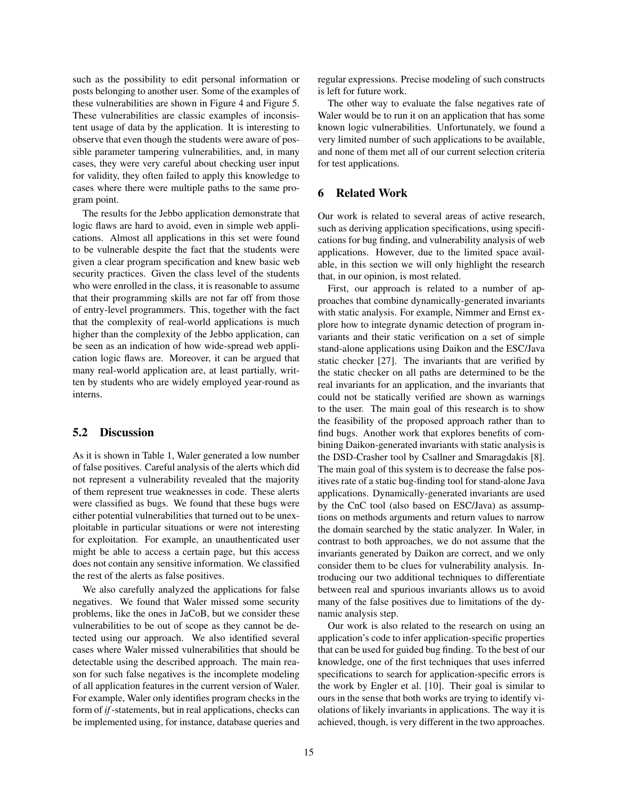such as the possibility to edit personal information or posts belonging to another user. Some of the examples of these vulnerabilities are shown in Figure 4 and Figure 5. These vulnerabilities are classic examples of inconsistent usage of data by the application. It is interesting to observe that even though the students were aware of possible parameter tampering vulnerabilities, and, in many cases, they were very careful about checking user input for validity, they often failed to apply this knowledge to cases where there were multiple paths to the same program point.

The results for the Jebbo application demonstrate that logic flaws are hard to avoid, even in simple web applications. Almost all applications in this set were found to be vulnerable despite the fact that the students were given a clear program specification and knew basic web security practices. Given the class level of the students who were enrolled in the class, it is reasonable to assume that their programming skills are not far off from those of entry-level programmers. This, together with the fact that the complexity of real-world applications is much higher than the complexity of the Jebbo application, can be seen as an indication of how wide-spread web application logic flaws are. Moreover, it can be argued that many real-world application are, at least partially, written by students who are widely employed year-round as interns.

# 5.2 Discussion

As it is shown in Table 1, Waler generated a low number of false positives. Careful analysis of the alerts which did not represent a vulnerability revealed that the majority of them represent true weaknesses in code. These alerts were classified as bugs. We found that these bugs were either potential vulnerabilities that turned out to be unexploitable in particular situations or were not interesting for exploitation. For example, an unauthenticated user might be able to access a certain page, but this access does not contain any sensitive information. We classified the rest of the alerts as false positives.

We also carefully analyzed the applications for false negatives. We found that Waler missed some security problems, like the ones in JaCoB, but we consider these vulnerabilities to be out of scope as they cannot be detected using our approach. We also identified several cases where Waler missed vulnerabilities that should be detectable using the described approach. The main reason for such false negatives is the incomplete modeling of all application features in the current version of Waler. For example, Waler only identifies program checks in the form of *if*-statements, but in real applications, checks can be implemented using, for instance, database queries and regular expressions. Precise modeling of such constructs is left for future work.

The other way to evaluate the false negatives rate of Waler would be to run it on an application that has some known logic vulnerabilities. Unfortunately, we found a very limited number of such applications to be available, and none of them met all of our current selection criteria for test applications.

# 6 Related Work

Our work is related to several areas of active research, such as deriving application specifications, using specifications for bug finding, and vulnerability analysis of web applications. However, due to the limited space available, in this section we will only highlight the research that, in our opinion, is most related.

First, our approach is related to a number of approaches that combine dynamically-generated invariants with static analysis. For example, Nimmer and Ernst explore how to integrate dynamic detection of program invariants and their static verification on a set of simple stand-alone applications using Daikon and the ESC/Java static checker [27]. The invariants that are verified by the static checker on all paths are determined to be the real invariants for an application, and the invariants that could not be statically verified are shown as warnings to the user. The main goal of this research is to show the feasibility of the proposed approach rather than to find bugs. Another work that explores benefits of combining Daikon-generated invariants with static analysis is the DSD-Crasher tool by Csallner and Smaragdakis [8]. The main goal of this system is to decrease the false positives rate of a static bug-finding tool for stand-alone Java applications. Dynamically-generated invariants are used by the CnC tool (also based on ESC/Java) as assumptions on methods arguments and return values to narrow the domain searched by the static analyzer. In Waler, in contrast to both approaches, we do not assume that the invariants generated by Daikon are correct, and we only consider them to be clues for vulnerability analysis. Introducing our two additional techniques to differentiate between real and spurious invariants allows us to avoid many of the false positives due to limitations of the dynamic analysis step.

Our work is also related to the research on using an application's code to infer application-specific properties that can be used for guided bug finding. To the best of our knowledge, one of the first techniques that uses inferred specifications to search for application-specific errors is the work by Engler et al. [10]. Their goal is similar to ours in the sense that both works are trying to identify violations of likely invariants in applications. The way it is achieved, though, is very different in the two approaches.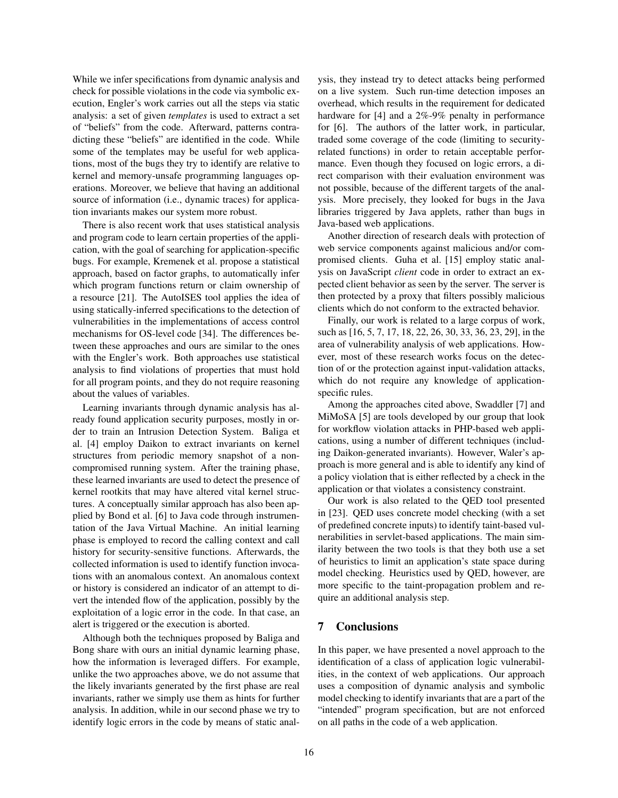While we infer specifications from dynamic analysis and check for possible violations in the code via symbolic execution, Engler's work carries out all the steps via static analysis: a set of given *templates* is used to extract a set of "beliefs" from the code. Afterward, patterns contradicting these "beliefs" are identified in the code. While some of the templates may be useful for web applications, most of the bugs they try to identify are relative to kernel and memory-unsafe programming languages operations. Moreover, we believe that having an additional source of information (i.e., dynamic traces) for application invariants makes our system more robust.

There is also recent work that uses statistical analysis and program code to learn certain properties of the application, with the goal of searching for application-specific bugs. For example, Kremenek et al. propose a statistical approach, based on factor graphs, to automatically infer which program functions return or claim ownership of a resource [21]. The AutoISES tool applies the idea of using statically-inferred specifications to the detection of vulnerabilities in the implementations of access control mechanisms for OS-level code [34]. The differences between these approaches and ours are similar to the ones with the Engler's work. Both approaches use statistical analysis to find violations of properties that must hold for all program points, and they do not require reasoning about the values of variables.

Learning invariants through dynamic analysis has already found application security purposes, mostly in order to train an Intrusion Detection System. Baliga et al. [4] employ Daikon to extract invariants on kernel structures from periodic memory snapshot of a noncompromised running system. After the training phase, these learned invariants are used to detect the presence of kernel rootkits that may have altered vital kernel structures. A conceptually similar approach has also been applied by Bond et al. [6] to Java code through instrumentation of the Java Virtual Machine. An initial learning phase is employed to record the calling context and call history for security-sensitive functions. Afterwards, the collected information is used to identify function invocations with an anomalous context. An anomalous context or history is considered an indicator of an attempt to divert the intended flow of the application, possibly by the exploitation of a logic error in the code. In that case, an alert is triggered or the execution is aborted.

Although both the techniques proposed by Baliga and Bong share with ours an initial dynamic learning phase, how the information is leveraged differs. For example, unlike the two approaches above, we do not assume that the likely invariants generated by the first phase are real invariants, rather we simply use them as hints for further analysis. In addition, while in our second phase we try to identify logic errors in the code by means of static analysis, they instead try to detect attacks being performed on a live system. Such run-time detection imposes an overhead, which results in the requirement for dedicated hardware for [4] and a 2%-9% penalty in performance for [6]. The authors of the latter work, in particular, traded some coverage of the code (limiting to securityrelated functions) in order to retain acceptable performance. Even though they focused on logic errors, a direct comparison with their evaluation environment was not possible, because of the different targets of the analysis. More precisely, they looked for bugs in the Java libraries triggered by Java applets, rather than bugs in Java-based web applications.

Another direction of research deals with protection of web service components against malicious and/or compromised clients. Guha et al. [15] employ static analysis on JavaScript *client* code in order to extract an expected client behavior as seen by the server. The server is then protected by a proxy that filters possibly malicious clients which do not conform to the extracted behavior.

Finally, our work is related to a large corpus of work, such as [16, 5, 7, 17, 18, 22, 26, 30, 33, 36, 23, 29], in the area of vulnerability analysis of web applications. However, most of these research works focus on the detection of or the protection against input-validation attacks, which do not require any knowledge of applicationspecific rules.

Among the approaches cited above, Swaddler [7] and MiMoSA [5] are tools developed by our group that look for workflow violation attacks in PHP-based web applications, using a number of different techniques (including Daikon-generated invariants). However, Waler's approach is more general and is able to identify any kind of a policy violation that is either reflected by a check in the application or that violates a consistency constraint.

Our work is also related to the QED tool presented in [23]. QED uses concrete model checking (with a set of predefined concrete inputs) to identify taint-based vulnerabilities in servlet-based applications. The main similarity between the two tools is that they both use a set of heuristics to limit an application's state space during model checking. Heuristics used by QED, however, are more specific to the taint-propagation problem and require an additional analysis step.

### 7 Conclusions

In this paper, we have presented a novel approach to the identification of a class of application logic vulnerabilities, in the context of web applications. Our approach uses a composition of dynamic analysis and symbolic model checking to identify invariants that are a part of the "intended" program specification, but are not enforced on all paths in the code of a web application.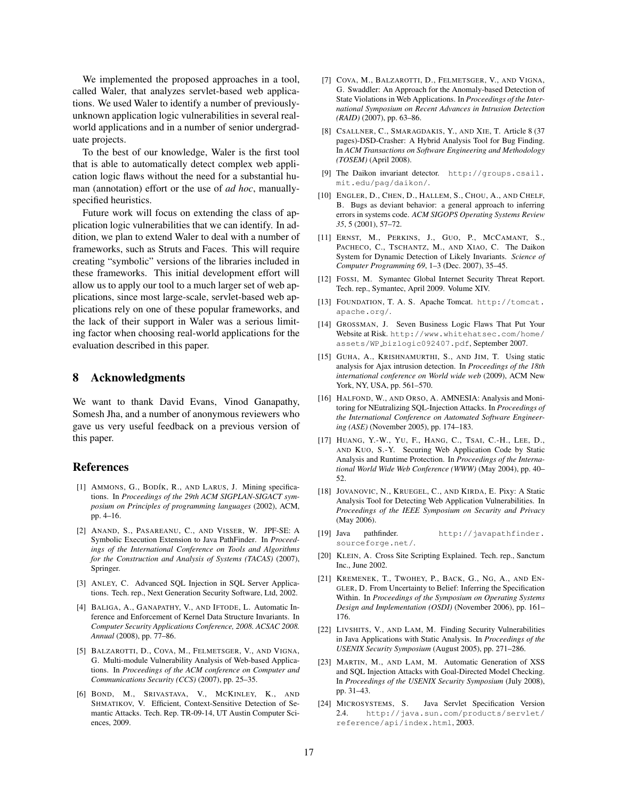We implemented the proposed approaches in a tool, called Waler, that analyzes servlet-based web applications. We used Waler to identify a number of previouslyunknown application logic vulnerabilities in several realworld applications and in a number of senior undergraduate projects.

To the best of our knowledge, Waler is the first tool that is able to automatically detect complex web application logic flaws without the need for a substantial human (annotation) effort or the use of *ad hoc*, manuallyspecified heuristics.

Future work will focus on extending the class of application logic vulnerabilities that we can identify. In addition, we plan to extend Waler to deal with a number of frameworks, such as Struts and Faces. This will require creating "symbolic" versions of the libraries included in these frameworks. This initial development effort will allow us to apply our tool to a much larger set of web applications, since most large-scale, servlet-based web applications rely on one of these popular frameworks, and the lack of their support in Waler was a serious limiting factor when choosing real-world applications for the evaluation described in this paper.

### 8 Acknowledgments

We want to thank David Evans, Vinod Ganapathy, Somesh Jha, and a number of anonymous reviewers who gave us very useful feedback on a previous version of this paper.

### References

- [1] AMMONS, G., BODÍK, R., AND LARUS, J. Mining specifications. In *Proceedings of the 29th ACM SIGPLAN-SIGACT symposium on Principles of programming languages* (2002), ACM, pp. 4–16.
- [2] ANAND, S., PASAREANU, C., AND VISSER, W. JPF-SE: A Symbolic Execution Extension to Java PathFinder. In *Proceedings of the International Conference on Tools and Algorithms for the Construction and Analysis of Systems (TACAS)* (2007), Springer.
- [3] ANLEY, C. Advanced SQL Injection in SQL Server Applications. Tech. rep., Next Generation Security Software, Ltd, 2002.
- [4] BALIGA, A., GANAPATHY, V., AND IFTODE, L. Automatic Inference and Enforcement of Kernel Data Structure Invariants. In *Computer Security Applications Conference, 2008. ACSAC 2008. Annual* (2008), pp. 77–86.
- [5] BALZAROTTI, D., COVA, M., FELMETSGER, V., AND VIGNA, G. Multi-module Vulnerability Analysis of Web-based Applications. In *Proceedings of the ACM conference on Computer and Communications Security (CCS)* (2007), pp. 25–35.
- [6] BOND, M., SRIVASTAVA, V., MCKINLEY, K., AND SHMATIKOV, V. Efficient, Context-Sensitive Detection of Semantic Attacks. Tech. Rep. TR-09-14, UT Austin Computer Sciences, 2009.
- [7] COVA, M., BALZAROTTI, D., FELMETSGER, V., AND VIGNA, G. Swaddler: An Approach for the Anomaly-based Detection of State Violations in Web Applications. In *Proceedings of the International Symposium on Recent Advances in Intrusion Detection (RAID)* (2007), pp. 63–86.
- [8] CSALLNER, C., SMARAGDAKIS, Y., AND XIE, T. Article 8 (37 pages)-DSD-Crasher: A Hybrid Analysis Tool for Bug Finding. In *ACM Transactions on Software Engineering and Methodology (TOSEM)* (April 2008).
- [9] The Daikon invariant detector. http://groups.csail. mit.edu/pag/daikon/.
- [10] ENGLER, D., CHEN, D., HALLEM, S., CHOU, A., AND CHELF, B. Bugs as deviant behavior: a general approach to inferring errors in systems code. *ACM SIGOPS Operating Systems Review 35*, 5 (2001), 57–72.
- [11] ERNST, M., PERKINS, J., GUO, P., MCCAMANT, S., PACHECO, C., TSCHANTZ, M., AND XIAO, C. The Daikon System for Dynamic Detection of Likely Invariants. *Science of Computer Programming 69*, 1–3 (Dec. 2007), 35–45.
- [12] FOSSI, M. Symantec Global Internet Security Threat Report. Tech. rep., Symantec, April 2009. Volume XIV.
- [13] FOUNDATION, T. A. S. Apache Tomcat. http://tomcat. apache.org/.
- [14] GROSSMAN, J. Seven Business Logic Flaws That Put Your Website at Risk. http://www.whitehatsec.com/home/ assets/WP bizlogic092407.pdf, September 2007.
- [15] GUHA, A., KRISHNAMURTHI, S., AND JIM, T. Using static analysis for Ajax intrusion detection. In *Proceedings of the 18th international conference on World wide web* (2009), ACM New York, NY, USA, pp. 561–570.
- [16] HALFOND, W., AND ORSO, A. AMNESIA: Analysis and Monitoring for NEutralizing SQL-Injection Attacks. In *Proceedings of the International Conference on Automated Software Engineering (ASE)* (November 2005), pp. 174–183.
- [17] HUANG, Y.-W., YU, F., HANG, C., TSAI, C.-H., LEE, D., AND KUO, S.-Y. Securing Web Application Code by Static Analysis and Runtime Protection. In *Proceedings of the International World Wide Web Conference (WWW)* (May 2004), pp. 40– 52.
- [18] JOVANOVIC, N., KRUEGEL, C., AND KIRDA, E. Pixy: A Static Analysis Tool for Detecting Web Application Vulnerabilities. In *Proceedings of the IEEE Symposium on Security and Privacy* (May 2006).
- [19] Java pathfinder. http://javapathfinder. sourceforge.net/.
- [20] KLEIN, A. Cross Site Scripting Explained. Tech. rep., Sanctum Inc., June 2002.
- [21] KREMENEK, T., TWOHEY, P., BACK, G., NG, A., AND EN-GLER, D. From Uncertainty to Belief: Inferring the Specification Within. In *Proceedings of the Symposium on Operating Systems Design and Implementation (OSDI)* (November 2006), pp. 161– 176.
- [22] LIVSHITS, V., AND LAM, M. Finding Security Vulnerabilities in Java Applications with Static Analysis. In *Proceedings of the USENIX Security Symposium* (August 2005), pp. 271–286.
- [23] MARTIN, M., AND LAM, M. Automatic Generation of XSS and SQL Injection Attacks with Goal-Directed Model Checking. In *Proceedings of the USENIX Security Symposium* (July 2008), pp. 31–43.
- [24] MICROSYSTEMS, S. Java Servlet Specification Version 2.4. http://java.sun.com/products/servlet/ reference/api/index.html, 2003.